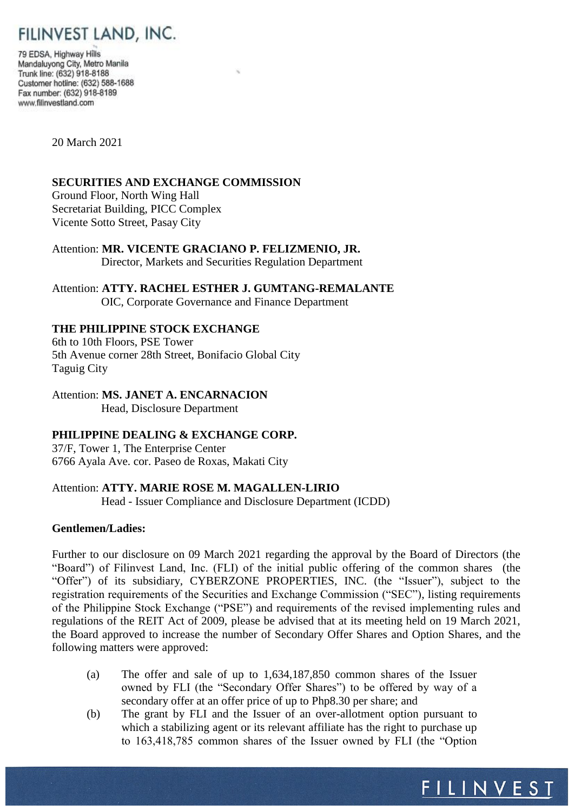

79 EDSA, Highway Hills Mandaluyong City, Metro Manila Trunk line: (632) 918-8188 Customer hotline: (632) 588-1688 Fax number: (632) 918-8189 www.filinvestland.com

20 March 2021

### **SECURITIES AND EXCHANGE COMMISSION**

Ground Floor, North Wing Hall Secretariat Building, PICC Complex Vicente Sotto Street, Pasay City

Attention: **MR. VICENTE GRACIANO P. FELIZMENIO, JR.** Director, Markets and Securities Regulation Department

Attention: **ATTY. RACHEL ESTHER J. GUMTANG-REMALANTE** OIC, Corporate Governance and Finance Department

# **THE PHILIPPINE STOCK EXCHANGE**

6th to 10th Floors, PSE Tower 5th Avenue corner 28th Street, Bonifacio Global City Taguig City

Attention: **MS. JANET A. ENCARNACION** Head, Disclosure Department

### **PHILIPPINE DEALING & EXCHANGE CORP.**

37/F, Tower 1, The Enterprise Center 6766 Ayala Ave. cor. Paseo de Roxas, Makati City

## Attention: **ATTY. MARIE ROSE M. MAGALLEN-LIRIO**

Head - Issuer Compliance and Disclosure Department (ICDD)

#### **Gentlemen/Ladies:**

Further to our disclosure on 09 March 2021 regarding the approval by the Board of Directors (the "Board") of Filinvest Land, Inc. (FLI) of the initial public offering of the common shares (the "Offer") of its subsidiary, CYBERZONE PROPERTIES, INC. (the "Issuer"), subject to the registration requirements of the Securities and Exchange Commission ("SEC"), listing requirements of the Philippine Stock Exchange ("PSE") and requirements of the revised implementing rules and regulations of the REIT Act of 2009, please be advised that at its meeting held on 19 March 2021, the Board approved to increase the number of Secondary Offer Shares and Option Shares, and the following matters were approved:

- (a) The offer and sale of up to 1,634,187,850 common shares of the Issuer owned by FLI (the "Secondary Offer Shares") to be offered by way of a secondary offer at an offer price of up to Php8.30 per share; and
- (b) The grant by FLI and the Issuer of an over-allotment option pursuant to which a stabilizing agent or its relevant affiliate has the right to purchase up to 163,418,785 common shares of the Issuer owned by FLI (the "Option

FILINVEST